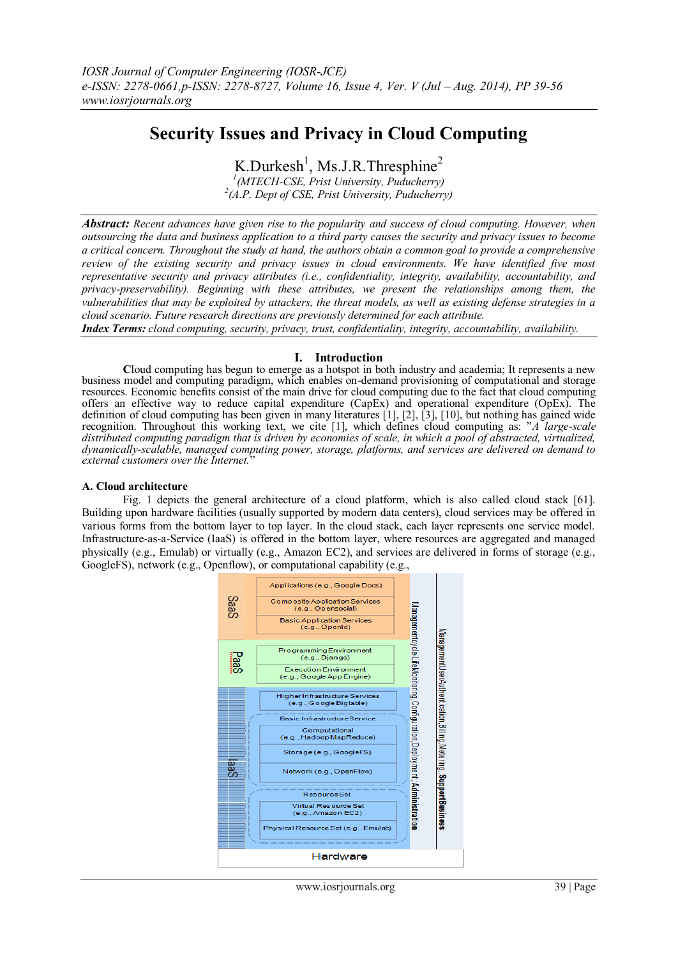# **Security Issues and Privacy in Cloud Computing**

K.Durkesh<sup>1</sup>, Ms.J.R.Thresphine<sup>2</sup>

*1 (MTECH-CSE, Prist University, Puducherry) 2 (A.P, Dept of CSE, Prist University, Puducherry)*

*Abstract: Recent advances have given rise to the popularity and success of cloud computing. However, when outsourcing the data and business application to a third party causes the security and privacy issues to become a critical concern. Throughout the study at hand, the authors obtain a common goal to provide a comprehensive review of the existing security and privacy issues in cloud environments. We have identified five most representative security and privacy attributes (i.e., confidentiality, integrity, availability, accountability, and privacy-preservability). Beginning with these attributes, we present the relationships among them, the vulnerabilities that may be exploited by attackers, the threat models, as well as existing defense strategies in a cloud scenario. Future research directions are previously determined for each attribute.*

*Index Terms: cloud computing, security, privacy, trust, confidentiality, integrity, accountability, availability.*

#### **I. Introduction**

**C**loud computing has begun to emerge as a hotspot in both industry and academia; It represents a new business model and computing paradigm, which enables on-demand provisioning of computational and storage resources. Economic benefits consist of the main drive for cloud computing due to the fact that cloud computing offers an effective way to reduce capital expenditure (CapEx) and operational expenditure (OpEx). The definition of cloud computing has been given in many literatures [1], [2], [3], [10], but nothing has gained wide recognition. Throughout this working text, we cite [1], which defines cloud computing as: "*A large-scale distributed computing paradigm that is driven by economies of scale, in which a pool of abstracted, virtualized, dynamically-scalable, managed computing power, storage, platforms, and services are delivered on demand to external customers over the Internet.*"

#### **A. Cloud architecture**

Fig. 1 depicts the general architecture of a cloud platform, which is also called cloud stack [61]. Building upon hardware facilities (usually supported by modern data centers), cloud services may be offered in various forms from the bottom layer to top layer. In the cloud stack, each layer represents one service model. Infrastructure-as-a-Service (IaaS) is offered in the bottom layer, where resources are aggregated and managed physically (e.g., Emulab) or virtually (e.g., Amazon EC2), and services are delivered in forms of storage (e.g., GoogleFS), network (e.g., Openflow), or computational capability (e.g.,



www.iosrjournals.org 39 | Page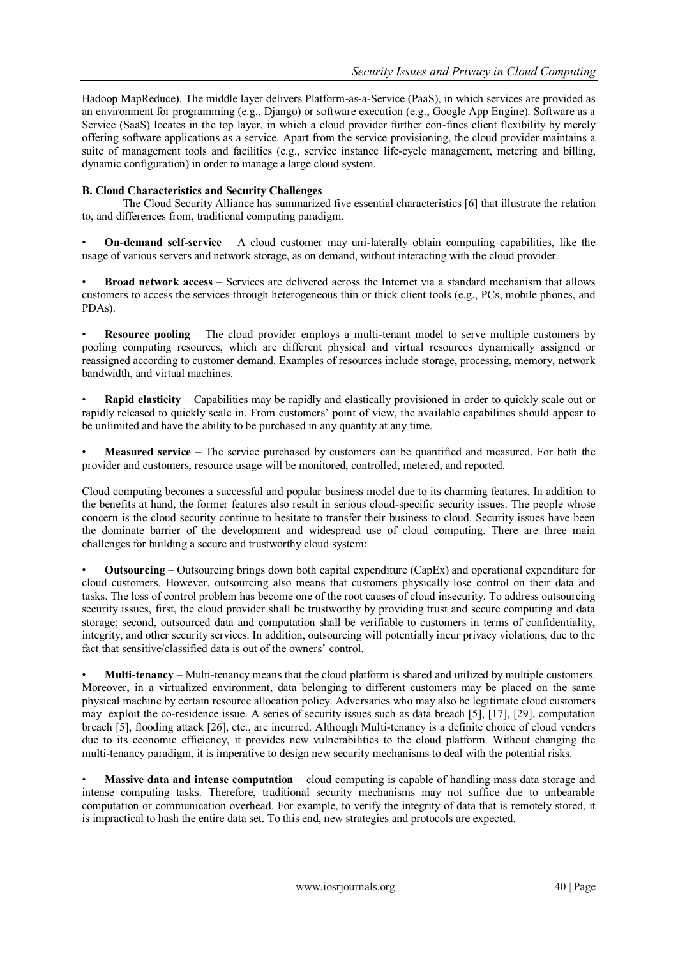Hadoop MapReduce). The middle layer delivers Platform-as-a-Service (PaaS), in which services are provided as an environment for programming (e.g., Django) or software execution (e.g., Google App Engine). Software as a Service (SaaS) locates in the top layer, in which a cloud provider further con-fines client flexibility by merely offering software applications as a service. Apart from the service provisioning, the cloud provider maintains a suite of management tools and facilities (e.g., service instance life-cycle management, metering and billing, dynamic configuration) in order to manage a large cloud system.

## **B. Cloud Characteristics and Security Challenges**

The Cloud Security Alliance has summarized five essential characteristics [6] that illustrate the relation to, and differences from, traditional computing paradigm.

• **On-demand self-service** – A cloud customer may uni-laterally obtain computing capabilities, like the usage of various servers and network storage, as on demand, without interacting with the cloud provider.

• **Broad network access** – Services are delivered across the Internet via a standard mechanism that allows customers to access the services through heterogeneous thin or thick client tools (e.g., PCs, mobile phones, and PDAs).

**Resource pooling – The cloud provider employs a multi-tenant model to serve multiple customers by** pooling computing resources, which are different physical and virtual resources dynamically assigned or reassigned according to customer demand. Examples of resources include storage, processing, memory, network bandwidth, and virtual machines.

• **Rapid elasticity** – Capabilities may be rapidly and elastically provisioned in order to quickly scale out or rapidly released to quickly scale in. From customers' point of view, the available capabilities should appear to be unlimited and have the ability to be purchased in any quantity at any time.

• **Measured service** – The service purchased by customers can be quantified and measured. For both the provider and customers, resource usage will be monitored, controlled, metered, and reported.

Cloud computing becomes a successful and popular business model due to its charming features. In addition to the benefits at hand, the former features also result in serious cloud-specific security issues. The people whose concern is the cloud security continue to hesitate to transfer their business to cloud. Security issues have been the dominate barrier of the development and widespread use of cloud computing. There are three main challenges for building a secure and trustworthy cloud system:

• **Outsourcing** – Outsourcing brings down both capital expenditure (CapEx) and operational expenditure for cloud customers. However, outsourcing also means that customers physically lose control on their data and tasks. The loss of control problem has become one of the root causes of cloud insecurity. To address outsourcing security issues, first, the cloud provider shall be trustworthy by providing trust and secure computing and data storage; second, outsourced data and computation shall be verifiable to customers in terms of confidentiality, integrity, and other security services. In addition, outsourcing will potentially incur privacy violations, due to the fact that sensitive/classified data is out of the owners' control.

• **Multi-tenancy** – Multi-tenancy means that the cloud platform is shared and utilized by multiple customers. Moreover, in a virtualized environment, data belonging to different customers may be placed on the same physical machine by certain resource allocation policy. Adversaries who may also be legitimate cloud customers may exploit the co-residence issue. A series of security issues such as data breach [5], [17], [29], computation breach [5], flooding attack [26], etc., are incurred. Although Multi-tenancy is a definite choice of cloud venders due to its economic efficiency, it provides new vulnerabilities to the cloud platform. Without changing the multi-tenancy paradigm, it is imperative to design new security mechanisms to deal with the potential risks.

**Massive data and intense computation** – cloud computing is capable of handling mass data storage and intense computing tasks. Therefore, traditional security mechanisms may not suffice due to unbearable computation or communication overhead. For example, to verify the integrity of data that is remotely stored, it is impractical to hash the entire data set. To this end, new strategies and protocols are expected.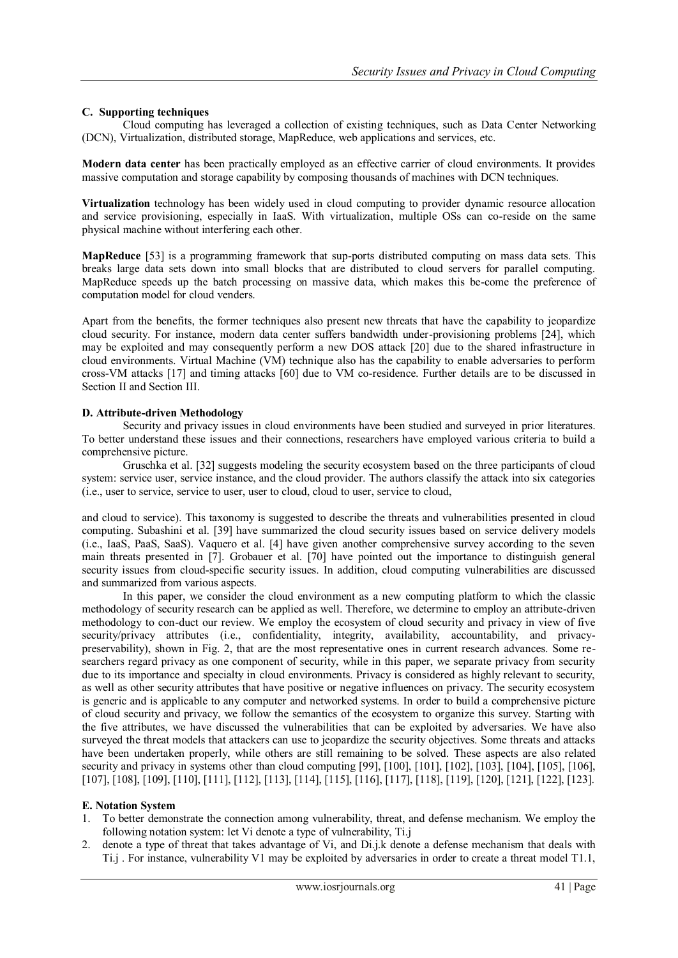## **C. Supporting techniques**

Cloud computing has leveraged a collection of existing techniques, such as Data Center Networking (DCN), Virtualization, distributed storage, MapReduce, web applications and services, etc.

**Modern data center** has been practically employed as an effective carrier of cloud environments. It provides massive computation and storage capability by composing thousands of machines with DCN techniques.

**Virtualization** technology has been widely used in cloud computing to provider dynamic resource allocation and service provisioning, especially in IaaS. With virtualization, multiple OSs can co-reside on the same physical machine without interfering each other.

**MapReduce** [53] is a programming framework that sup-ports distributed computing on mass data sets. This breaks large data sets down into small blocks that are distributed to cloud servers for parallel computing. MapReduce speeds up the batch processing on massive data, which makes this be-come the preference of computation model for cloud venders.

Apart from the benefits, the former techniques also present new threats that have the capability to jeopardize cloud security. For instance, modern data center suffers bandwidth under-provisioning problems [24], which may be exploited and may consequently perform a new DOS attack [20] due to the shared infrastructure in cloud environments. Virtual Machine (VM) technique also has the capability to enable adversaries to perform cross-VM attacks [17] and timing attacks [60] due to VM co-residence. Further details are to be discussed in Section II and Section III.

## **D. Attribute-driven Methodology**

Security and privacy issues in cloud environments have been studied and surveyed in prior literatures. To better understand these issues and their connections, researchers have employed various criteria to build a comprehensive picture.

Gruschka et al. [32] suggests modeling the security ecosystem based on the three participants of cloud system: service user, service instance, and the cloud provider. The authors classify the attack into six categories (i.e., user to service, service to user, user to cloud, cloud to user, service to cloud,

and cloud to service). This taxonomy is suggested to describe the threats and vulnerabilities presented in cloud computing. Subashini et al. [39] have summarized the cloud security issues based on service delivery models (i.e., IaaS, PaaS, SaaS). Vaquero et al. [4] have given another comprehensive survey according to the seven main threats presented in [7]. Grobauer et al. [70] have pointed out the importance to distinguish general security issues from cloud-specific security issues. In addition, cloud computing vulnerabilities are discussed and summarized from various aspects.

In this paper, we consider the cloud environment as a new computing platform to which the classic methodology of security research can be applied as well. Therefore, we determine to employ an attribute-driven methodology to con-duct our review. We employ the ecosystem of cloud security and privacy in view of five security/privacy attributes (i.e., confidentiality, integrity, availability, accountability, and privacypreservability), shown in Fig. 2, that are the most representative ones in current research advances. Some researchers regard privacy as one component of security, while in this paper, we separate privacy from security due to its importance and specialty in cloud environments. Privacy is considered as highly relevant to security, as well as other security attributes that have positive or negative influences on privacy. The security ecosystem is generic and is applicable to any computer and networked systems. In order to build a comprehensive picture of cloud security and privacy, we follow the semantics of the ecosystem to organize this survey. Starting with the five attributes, we have discussed the vulnerabilities that can be exploited by adversaries. We have also surveyed the threat models that attackers can use to jeopardize the security objectives. Some threats and attacks have been undertaken properly, while others are still remaining to be solved. These aspects are also related security and privacy in systems other than cloud computing [99], [100], [101], [102], [103], [104], [105], [106], [107], [108], [109], [110], [111], [112], [113], [114], [115], [116], [117], [118], [119], [120], [121], [122], [123].

## **E. Notation System**

- 1. To better demonstrate the connection among vulnerability, threat, and defense mechanism. We employ the following notation system: let Vi denote a type of vulnerability, Ti.j
- 2. denote a type of threat that takes advantage of Vi, and Di.j.k denote a defense mechanism that deals with Ti.j . For instance, vulnerability V1 may be exploited by adversaries in order to create a threat model T1.1,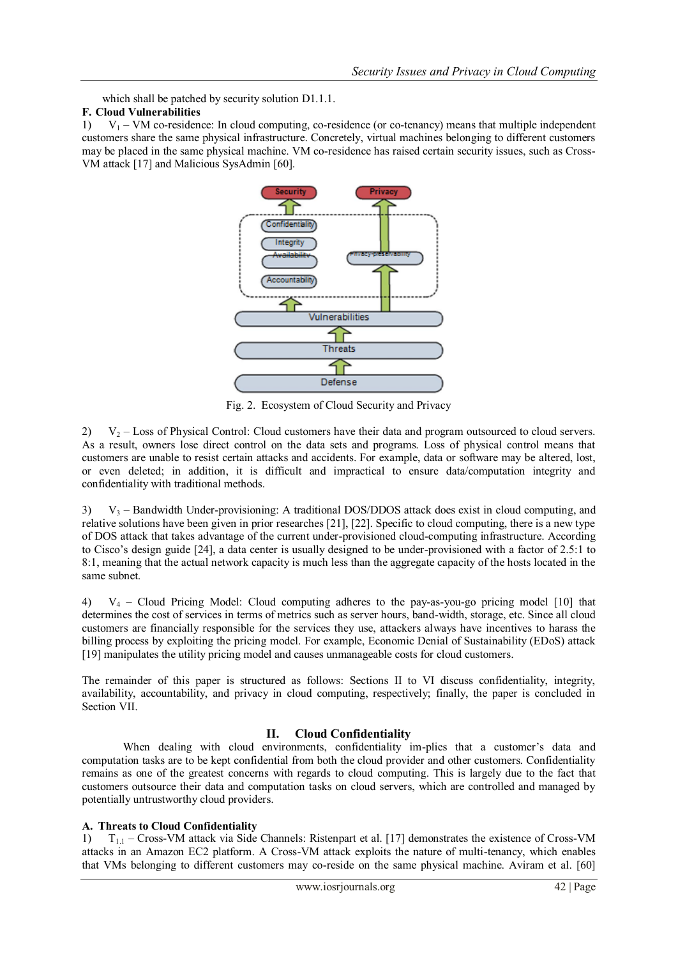which shall be patched by security solution D1.1.1.

## **F. Cloud Vulnerabilities**

1)  $V_1$  – VM co-residence: In cloud computing, co-residence (or co-tenancy) means that multiple independent customers share the same physical infrastructure. Concretely, virtual machines belonging to different customers may be placed in the same physical machine. VM co-residence has raised certain security issues, such as Cross-VM attack [17] and Malicious SysAdmin [60].



Fig. 2. Ecosystem of Cloud Security and Privacy

2)  $V_2$  – Loss of Physical Control: Cloud customers have their data and program outsourced to cloud servers. As a result, owners lose direct control on the data sets and programs. Loss of physical control means that customers are unable to resist certain attacks and accidents. For example, data or software may be altered, lost, or even deleted; in addition, it is difficult and impractical to ensure data/computation integrity and confidentiality with traditional methods.

 $3)$   $V_3$  – Bandwidth Under-provisioning: A traditional DOS/DDOS attack does exist in cloud computing, and relative solutions have been given in prior researches [21], [22]. Specific to cloud computing, there is a new type of DOS attack that takes advantage of the current under-provisioned cloud-computing infrastructure. According to Cisco's design guide [24], a data center is usually designed to be under-provisioned with a factor of 2.5:1 to 8:1, meaning that the actual network capacity is much less than the aggregate capacity of the hosts located in the same subnet.

4) V<sup>4</sup> – Cloud Pricing Model: Cloud computing adheres to the pay-as-you-go pricing model [10] that determines the cost of services in terms of metrics such as server hours, band-width, storage, etc. Since all cloud customers are financially responsible for the services they use, attackers always have incentives to harass the billing process by exploiting the pricing model. For example, Economic Denial of Sustainability (EDoS) attack [19] manipulates the utility pricing model and causes unmanageable costs for cloud customers.

The remainder of this paper is structured as follows: Sections II to VI discuss confidentiality, integrity, availability, accountability, and privacy in cloud computing, respectively; finally, the paper is concluded in Section VII.

# **II. Cloud Confidentiality**

When dealing with cloud environments, confidentiality im-plies that a customer's data and computation tasks are to be kept confidential from both the cloud provider and other customers. Confidentiality remains as one of the greatest concerns with regards to cloud computing. This is largely due to the fact that customers outsource their data and computation tasks on cloud servers, which are controlled and managed by potentially untrustworthy cloud providers.

## **A. Threats to Cloud Confidentiality**

1)  $T_{11}$  – Cross-VM attack via Side Channels: Ristenpart et al. [17] demonstrates the existence of Cross-VM attacks in an Amazon EC2 platform. A Cross-VM attack exploits the nature of multi-tenancy, which enables that VMs belonging to different customers may co-reside on the same physical machine. Aviram et al. [60]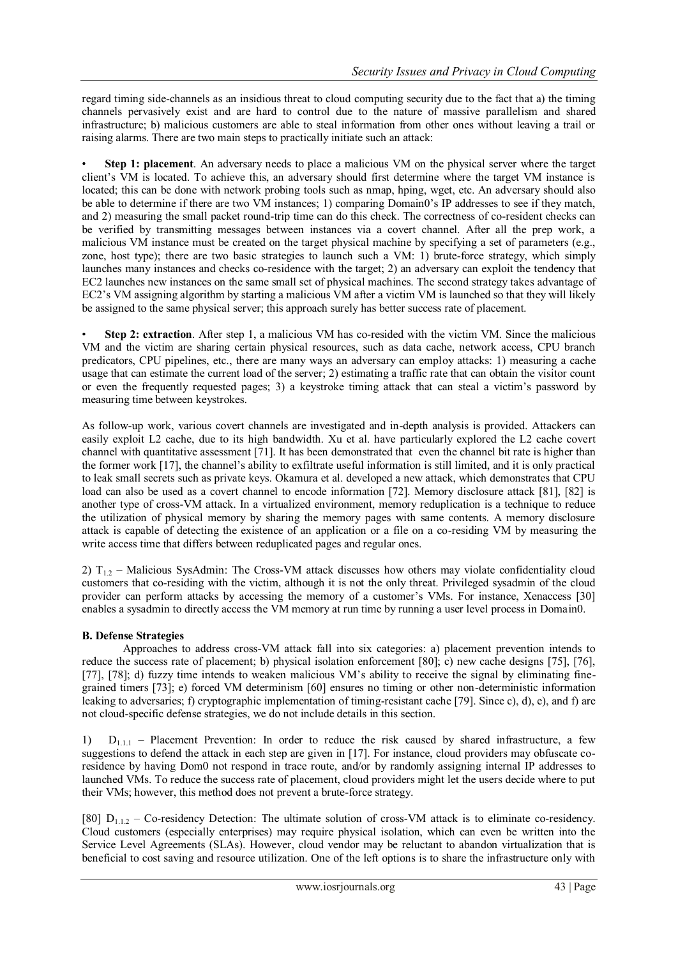regard timing side-channels as an insidious threat to cloud computing security due to the fact that a) the timing channels pervasively exist and are hard to control due to the nature of massive parallelism and shared infrastructure; b) malicious customers are able to steal information from other ones without leaving a trail or raising alarms. There are two main steps to practically initiate such an attack:

• **Step 1: placement**. An adversary needs to place a malicious VM on the physical server where the target client's VM is located. To achieve this, an adversary should first determine where the target VM instance is located; this can be done with network probing tools such as nmap, hping, wget, etc. An adversary should also be able to determine if there are two VM instances; 1) comparing Domain0's IP addresses to see if they match, and 2) measuring the small packet round-trip time can do this check. The correctness of co-resident checks can be verified by transmitting messages between instances via a covert channel. After all the prep work, a malicious VM instance must be created on the target physical machine by specifying a set of parameters (e.g., zone, host type); there are two basic strategies to launch such a VM: 1) brute-force strategy, which simply launches many instances and checks co-residence with the target; 2) an adversary can exploit the tendency that EC2 launches new instances on the same small set of physical machines. The second strategy takes advantage of EC2's VM assigning algorithm by starting a malicious VM after a victim VM is launched so that they will likely be assigned to the same physical server; this approach surely has better success rate of placement.

**Step 2: extraction.** After step 1, a malicious VM has co-resided with the victim VM. Since the malicious VM and the victim are sharing certain physical resources, such as data cache, network access, CPU branch predicators, CPU pipelines, etc., there are many ways an adversary can employ attacks: 1) measuring a cache usage that can estimate the current load of the server; 2) estimating a traffic rate that can obtain the visitor count or even the frequently requested pages; 3) a keystroke timing attack that can steal a victim's password by measuring time between keystrokes.

As follow-up work, various covert channels are investigated and in-depth analysis is provided. Attackers can easily exploit L2 cache, due to its high bandwidth. Xu et al. have particularly explored the L2 cache covert channel with quantitative assessment [71]. It has been demonstrated that even the channel bit rate is higher than the former work [17], the channel's ability to exfiltrate useful information is still limited, and it is only practical to leak small secrets such as private keys. Okamura et al. developed a new attack, which demonstrates that CPU load can also be used as a covert channel to encode information [72]. Memory disclosure attack [81], [82] is another type of cross-VM attack. In a virtualized environment, memory reduplication is a technique to reduce the utilization of physical memory by sharing the memory pages with same contents. A memory disclosure attack is capable of detecting the existence of an application or a file on a co-residing VM by measuring the write access time that differs between reduplicated pages and regular ones.

2)  $T_{1,2}$  – Malicious SysAdmin: The Cross-VM attack discusses how others may violate confidentiality cloud customers that co-residing with the victim, although it is not the only threat. Privileged sysadmin of the cloud provider can perform attacks by accessing the memory of a customer's VMs. For instance, Xenaccess [30] enables a sysadmin to directly access the VM memory at run time by running a user level process in Domain0.

# **B. Defense Strategies**

Approaches to address cross-VM attack fall into six categories: a) placement prevention intends to reduce the success rate of placement; b) physical isolation enforcement [80]; c) new cache designs [75], [76], [77], [78]; d) fuzzy time intends to weaken malicious VM's ability to receive the signal by eliminating finegrained timers [73]; e) forced VM determinism [60] ensures no timing or other non-deterministic information leaking to adversaries; f) cryptographic implementation of timing-resistant cache [79]. Since c), d), e), and f) are not cloud-specific defense strategies, we do not include details in this section.

1)  $D_{1,1,1}$  – Placement Prevention: In order to reduce the risk caused by shared infrastructure, a few suggestions to defend the attack in each step are given in [17]. For instance, cloud providers may obfuscate coresidence by having Dom0 not respond in trace route, and/or by randomly assigning internal IP addresses to launched VMs. To reduce the success rate of placement, cloud providers might let the users decide where to put their VMs; however, this method does not prevent a brute-force strategy.

[80]  $D_{1,1,2}$  – Co-residency Detection: The ultimate solution of cross-VM attack is to eliminate co-residency. Cloud customers (especially enterprises) may require physical isolation, which can even be written into the Service Level Agreements (SLAs). However, cloud vendor may be reluctant to abandon virtualization that is beneficial to cost saving and resource utilization. One of the left options is to share the infrastructure only with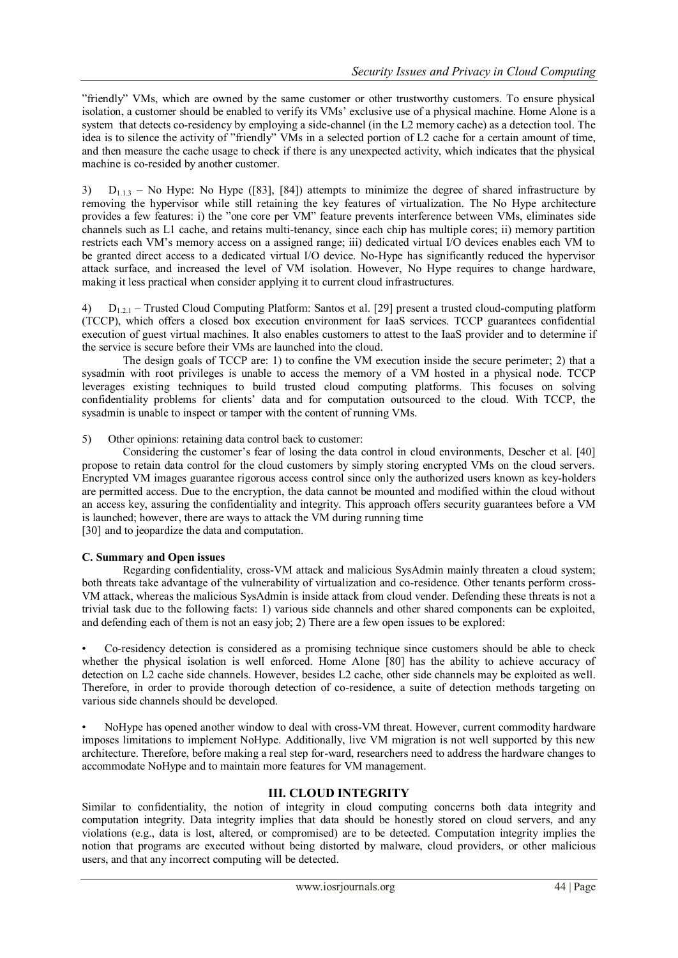"friendly" VMs, which are owned by the same customer or other trustworthy customers. To ensure physical isolation, a customer should be enabled to verify its VMs' exclusive use of a physical machine. Home Alone is a system that detects co-residency by employing a side-channel (in the L2 memory cache) as a detection tool. The idea is to silence the activity of "friendly" VMs in a selected portion of L2 cache for a certain amount of time, and then measure the cache usage to check if there is any unexpected activity, which indicates that the physical machine is co-resided by another customer.

3)  $D_{1,1,3}$  – No Hype: No Hype ([83], [84]) attempts to minimize the degree of shared infrastructure by removing the hypervisor while still retaining the key features of virtualization. The No Hype architecture provides a few features: i) the "one core per VM" feature prevents interference between VMs, eliminates side channels such as L1 cache, and retains multi-tenancy, since each chip has multiple cores; ii) memory partition restricts each VM's memory access on a assigned range; iii) dedicated virtual I/O devices enables each VM to be granted direct access to a dedicated virtual I/O device. No-Hype has significantly reduced the hypervisor attack surface, and increased the level of VM isolation. However, No Hype requires to change hardware, making it less practical when consider applying it to current cloud infrastructures.

4)  $D_{1,2,1}$  – Trusted Cloud Computing Platform: Santos et al. [29] present a trusted cloud-computing platform (TCCP), which offers a closed box execution environment for IaaS services. TCCP guarantees confidential execution of guest virtual machines. It also enables customers to attest to the IaaS provider and to determine if the service is secure before their VMs are launched into the cloud.

The design goals of TCCP are: 1) to confine the VM execution inside the secure perimeter; 2) that a sysadmin with root privileges is unable to access the memory of a VM hosted in a physical node. TCCP leverages existing techniques to build trusted cloud computing platforms. This focuses on solving confidentiality problems for clients' data and for computation outsourced to the cloud. With TCCP, the sysadmin is unable to inspect or tamper with the content of running VMs.

5) Other opinions: retaining data control back to customer:

Considering the customer's fear of losing the data control in cloud environments, Descher et al. [40] propose to retain data control for the cloud customers by simply storing encrypted VMs on the cloud servers. Encrypted VM images guarantee rigorous access control since only the authorized users known as key-holders are permitted access. Due to the encryption, the data cannot be mounted and modified within the cloud without an access key, assuring the confidentiality and integrity. This approach offers security guarantees before a VM is launched; however, there are ways to attack the VM during running time [30] and to jeopardize the data and computation.

# **C. Summary and Open issues**

Regarding confidentiality, cross-VM attack and malicious SysAdmin mainly threaten a cloud system; both threats take advantage of the vulnerability of virtualization and co-residence. Other tenants perform cross-VM attack, whereas the malicious SysAdmin is inside attack from cloud vender. Defending these threats is not a trivial task due to the following facts: 1) various side channels and other shared components can be exploited, and defending each of them is not an easy job; 2) There are a few open issues to be explored:

• Co-residency detection is considered as a promising technique since customers should be able to check whether the physical isolation is well enforced. Home Alone [80] has the ability to achieve accuracy of detection on L2 cache side channels. However, besides L2 cache, other side channels may be exploited as well. Therefore, in order to provide thorough detection of co-residence, a suite of detection methods targeting on various side channels should be developed.

• NoHype has opened another window to deal with cross-VM threat. However, current commodity hardware imposes limitations to implement NoHype. Additionally, live VM migration is not well supported by this new architecture. Therefore, before making a real step for-ward, researchers need to address the hardware changes to accommodate NoHype and to maintain more features for VM management.

# **III. CLOUD INTEGRITY**

Similar to confidentiality, the notion of integrity in cloud computing concerns both data integrity and computation integrity. Data integrity implies that data should be honestly stored on cloud servers, and any violations (e.g., data is lost, altered, or compromised) are to be detected. Computation integrity implies the notion that programs are executed without being distorted by malware, cloud providers, or other malicious users, and that any incorrect computing will be detected.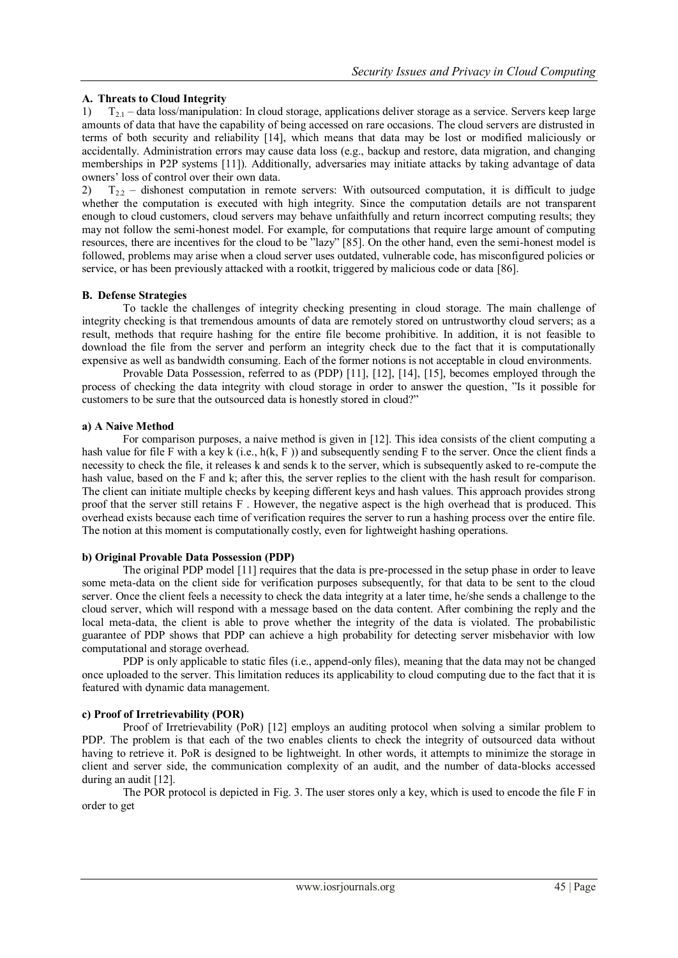# **A. Threats to Cloud Integrity**

1)  $T_{2,1}$  – data loss/manipulation: In cloud storage, applications deliver storage as a service. Servers keep large amounts of data that have the capability of being accessed on rare occasions. The cloud servers are distrusted in terms of both security and reliability [14], which means that data may be lost or modified maliciously or accidentally. Administration errors may cause data loss (e.g., backup and restore, data migration, and changing memberships in P2P systems [11]). Additionally, adversaries may initiate attacks by taking advantage of data owners' loss of control over their own data.

 $2)$  T<sub>22</sub> – dishonest computation in remote servers: With outsourced computation, it is difficult to judge whether the computation is executed with high integrity. Since the computation details are not transparent enough to cloud customers, cloud servers may behave unfaithfully and return incorrect computing results; they may not follow the semi-honest model. For example, for computations that require large amount of computing resources, there are incentives for the cloud to be "lazy" [85]. On the other hand, even the semi-honest model is followed, problems may arise when a cloud server uses outdated, vulnerable code, has misconfigured policies or service, or has been previously attacked with a rootkit, triggered by malicious code or data [86].

## **B. Defense Strategies**

To tackle the challenges of integrity checking presenting in cloud storage. The main challenge of integrity checking is that tremendous amounts of data are remotely stored on untrustworthy cloud servers; as a result, methods that require hashing for the entire file become prohibitive. In addition, it is not feasible to download the file from the server and perform an integrity check due to the fact that it is computationally expensive as well as bandwidth consuming. Each of the former notions is not acceptable in cloud environments.

Provable Data Possession, referred to as (PDP) [11], [12], [14], [15], becomes employed through the process of checking the data integrity with cloud storage in order to answer the question, "Is it possible for customers to be sure that the outsourced data is honestly stored in cloud?"

## **a) A Naive Method**

For comparison purposes, a naive method is given in [12]. This idea consists of the client computing a hash value for file F with a key k (i.e.,  $h(k, F)$ ) and subsequently sending F to the server. Once the client finds a necessity to check the file, it releases k and sends k to the server, which is subsequently asked to re-compute the hash value, based on the F and k; after this, the server replies to the client with the hash result for comparison. The client can initiate multiple checks by keeping different keys and hash values. This approach provides strong proof that the server still retains F . However, the negative aspect is the high overhead that is produced. This overhead exists because each time of verification requires the server to run a hashing process over the entire file. The notion at this moment is computationally costly, even for lightweight hashing operations.

## **b) Original Provable Data Possession (PDP)**

The original PDP model [11] requires that the data is pre-processed in the setup phase in order to leave some meta-data on the client side for verification purposes subsequently, for that data to be sent to the cloud server. Once the client feels a necessity to check the data integrity at a later time, he/she sends a challenge to the cloud server, which will respond with a message based on the data content. After combining the reply and the local meta-data, the client is able to prove whether the integrity of the data is violated. The probabilistic guarantee of PDP shows that PDP can achieve a high probability for detecting server misbehavior with low computational and storage overhead.

PDP is only applicable to static files (i.e., append-only files), meaning that the data may not be changed once uploaded to the server. This limitation reduces its applicability to cloud computing due to the fact that it is featured with dynamic data management.

# **c) Proof of Irretrievability (POR)**

Proof of Irretrievability (PoR) [12] employs an auditing protocol when solving a similar problem to PDP. The problem is that each of the two enables clients to check the integrity of outsourced data without having to retrieve it. PoR is designed to be lightweight. In other words, it attempts to minimize the storage in client and server side, the communication complexity of an audit, and the number of data-blocks accessed during an audit [12].

The POR protocol is depicted in Fig. 3. The user stores only a key, which is used to encode the file F in order to get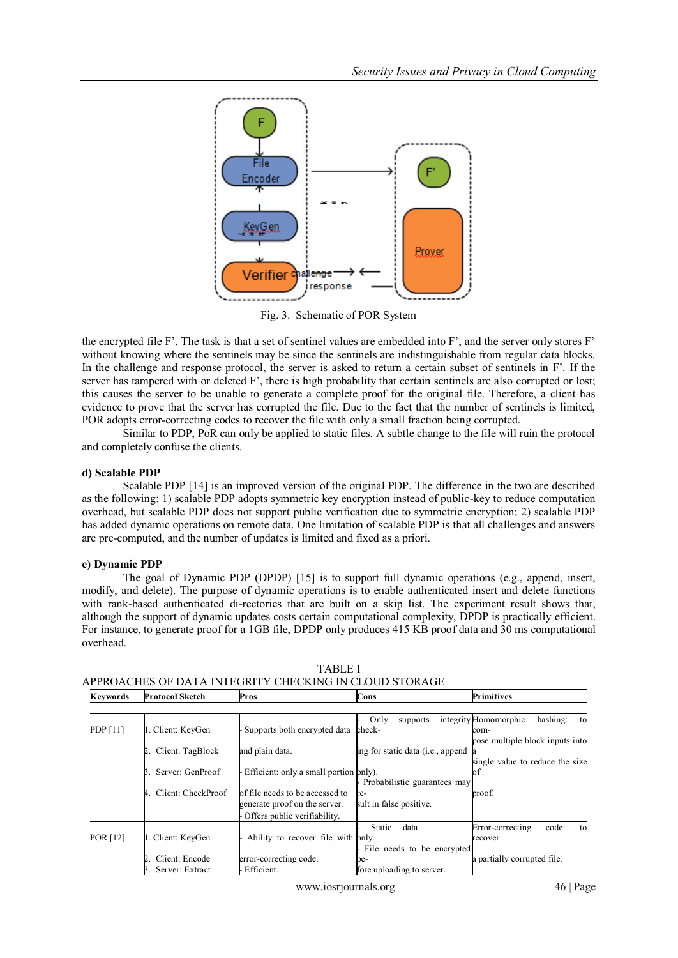

Fig. 3. Schematic of POR System

the encrypted file F'. The task is that a set of sentinel values are embedded into F', and the server only stores F' without knowing where the sentinels may be since the sentinels are indistinguishable from regular data blocks. In the challenge and response protocol, the server is asked to return a certain subset of sentinels in F'. If the server has tampered with or deleted F', there is high probability that certain sentinels are also corrupted or lost; this causes the server to be unable to generate a complete proof for the original file. Therefore, a client has evidence to prove that the server has corrupted the file. Due to the fact that the number of sentinels is limited, POR adopts error-correcting codes to recover the file with only a small fraction being corrupted.

Similar to PDP, PoR can only be applied to static files. A subtle change to the file will ruin the protocol and completely confuse the clients.

#### **d) Scalable PDP**

Scalable PDP [14] is an improved version of the original PDP. The difference in the two are described as the following: 1) scalable PDP adopts symmetric key encryption instead of public-key to reduce computation overhead, but scalable PDP does not support public verification due to symmetric encryption; 2) scalable PDP has added dynamic operations on remote data. One limitation of scalable PDP is that all challenges and answers are pre-computed, and the number of updates is limited and fixed as a priori.

#### **e) Dynamic PDP**

The goal of Dynamic PDP (DPDP) [15] is to support full dynamic operations (e.g., append, insert, modify, and delete). The purpose of dynamic operations is to enable authenticated insert and delete functions with rank-based authenticated di-rectories that are built on a skip list. The experiment result shows that, although the support of dynamic updates costs certain computational complexity, DPDP is practically efficient. For instance, to generate proof for a 1GB file, DPDP only produces 415 KB proof data and 30 ms computational overhead.

| <b>Keywords</b> | <b>Protocol Sketch</b> | Pros                                   | Cons                                       | <b>Primitives</b>                       |
|-----------------|------------------------|----------------------------------------|--------------------------------------------|-----------------------------------------|
|                 |                        |                                        |                                            |                                         |
|                 |                        |                                        | Only<br>supports                           | integrity Homomorphic<br>hashing:<br>to |
| PDP [11]        | 1. Client: KeyGen      | Supports both encrypted data           | check-                                     | com-                                    |
|                 |                        |                                        |                                            | pose multiple block inputs into         |
|                 | Client: TagBlock       | and plain data.                        | ing for static data ( <i>i.e.</i> , append |                                         |
|                 |                        |                                        |                                            | single value to reduce the size         |
|                 | Server: GenProof       | Efficient: only a small portion only). |                                            | bf                                      |
|                 |                        |                                        | Probabilistic guarantees may               |                                         |
|                 | Client: CheckProof     | of file needs to be accessed to        | re-                                        | proof.                                  |
|                 |                        | generate proof on the server.          | sult in false positive.                    |                                         |
|                 |                        | Offers public verifiability.           |                                            |                                         |
|                 |                        |                                        | data<br>Static                             | code:<br>Error-correcting<br>to         |
| POR [12]        | 1. Client: KeyGen      | Ability to recover file with only.     |                                            | recover                                 |
|                 |                        |                                        | File needs to be encrypted                 |                                         |
|                 | Client: Encode         | error-correcting code.                 | be-                                        | a partially corrupted file.             |
|                 | Server: Extract        | - Efficient.                           | fore uploading to server.                  |                                         |

TABLE I APPROACHES OF DATA INTEGRITY CHECKING IN CLOUD STORAGE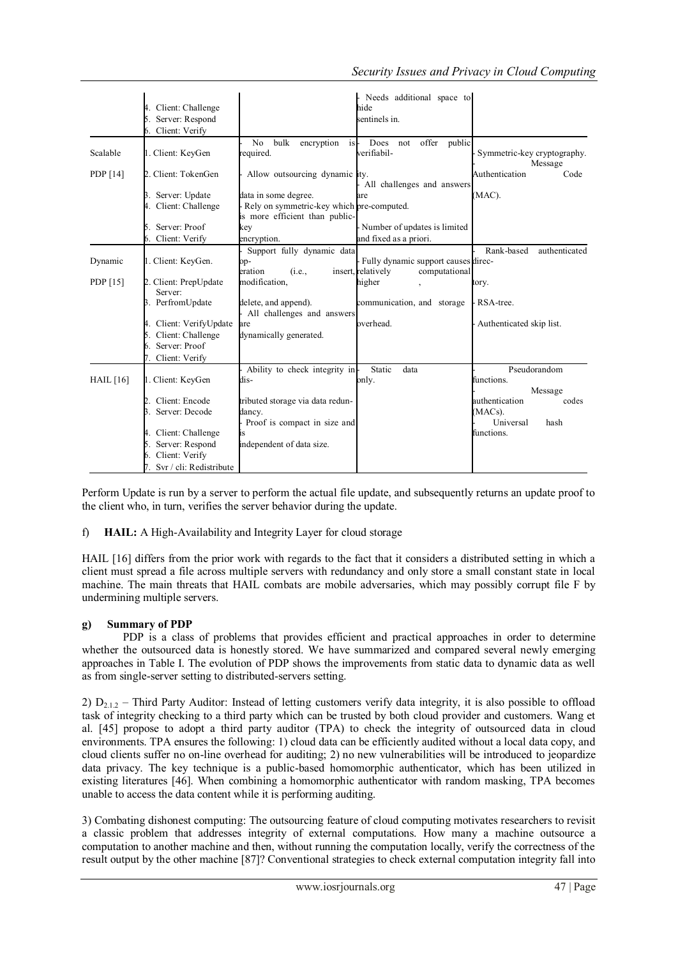|          | 4. Client: Challenge<br>Server: Respond<br>Client: Verify |                                                            | Needs additional space to<br>hide<br>sentinels in. |                                        |
|----------|-----------------------------------------------------------|------------------------------------------------------------|----------------------------------------------------|----------------------------------------|
| Scalable | 1. Client: KeyGen                                         | bulk<br>N <sub>o</sub><br>encryption<br>$is-$<br>required. | offer<br>Does<br>public<br>not<br>verifiabil-      | Symmetric-key cryptography.<br>Message |
| PDP [14] | 2. Client: TokenGen                                       | Allow outsourcing dynamic ity.                             | All challenges and answers                         | Authentication<br>Code                 |
|          | 3. Server: Update                                         | data in some degree.                                       | are                                                | (MAC).                                 |
|          | 4. Client: Challenge                                      | Rely on symmetric-key which pre-computed.                  |                                                    |                                        |
|          |                                                           | is more efficient than public-                             |                                                    |                                        |
|          | 5. Server: Proof                                          | kev                                                        | Number of updates is limited                       |                                        |
|          | 6. Client: Verify                                         | encryption.                                                | and fixed as a priori.                             |                                        |
|          |                                                           | Support fully dynamic data                                 |                                                    | Rank-based<br>authenticated            |
| Dynamic  | 1. Client: KeyGen.                                        | op-                                                        | Fully dynamic support causes direc-                |                                        |
|          |                                                           | eration<br>(i.e.,                                          | insert, relatively<br>computational                |                                        |
| PDP [15] | 2. Client: PrepUpdate<br>Server:                          | modification,                                              | higher<br>$\overline{\phantom{a}}$                 | tory.                                  |
|          | 3. PerfromUpdate                                          | delete, and append).<br>All challenges and answers         | communication, and storage                         | RSA-tree.                              |
|          | 4. Client: VerifyUpdate                                   | are                                                        | overhead.                                          | Authenticated skip list.               |
|          | Client: Challenge                                         | dynamically generated.                                     |                                                    |                                        |
|          | Server: Proof                                             |                                                            |                                                    |                                        |
|          | 7. Client: Verify                                         |                                                            |                                                    |                                        |
|          |                                                           | Ability to check integrity in                              | Static<br>data                                     | Pseudorandom                           |
| HAL[16]  | 1. Client: KeyGen                                         | dis-                                                       | only.                                              | functions.                             |
|          |                                                           |                                                            |                                                    | Message                                |
|          | Client: Encode                                            | tributed storage via data redun-                           |                                                    | authentication<br>codes                |
|          | 3. Server: Decode                                         | dancy.                                                     |                                                    | MAC <sub>s</sub> ).                    |
|          |                                                           | Proof is compact in size and                               |                                                    | Universal<br>hash                      |
|          | 4. Client: Challenge                                      | IS                                                         |                                                    | functions.                             |
|          | Server: Respond<br>Б.                                     | independent of data size.                                  |                                                    |                                        |
|          | Client: Verify                                            |                                                            |                                                    |                                        |
|          | Svr / cli: Redistribute                                   |                                                            |                                                    |                                        |

# *Security Issues and Privacy in Cloud Computing*

Perform Update is run by a server to perform the actual file update, and subsequently returns an update proof to the client who, in turn, verifies the server behavior during the update.

# f) **HAIL:** A High-Availability and Integrity Layer for cloud storage

HAIL [16] differs from the prior work with regards to the fact that it considers a distributed setting in which a client must spread a file across multiple servers with redundancy and only store a small constant state in local machine. The main threats that HAIL combats are mobile adversaries, which may possibly corrupt file F by undermining multiple servers.

## **g) Summary of PDP**

PDP is a class of problems that provides efficient and practical approaches in order to determine whether the outsourced data is honestly stored. We have summarized and compared several newly emerging approaches in Table I. The evolution of PDP shows the improvements from static data to dynamic data as well as from single-server setting to distributed-servers setting.

2)  $D_{2,12}$  – Third Party Auditor: Instead of letting customers verify data integrity, it is also possible to offload task of integrity checking to a third party which can be trusted by both cloud provider and customers. Wang et al. [45] propose to adopt a third party auditor (TPA) to check the integrity of outsourced data in cloud environments. TPA ensures the following: 1) cloud data can be efficiently audited without a local data copy, and cloud clients suffer no on-line overhead for auditing; 2) no new vulnerabilities will be introduced to jeopardize data privacy. The key technique is a public-based homomorphic authenticator, which has been utilized in existing literatures [46]. When combining a homomorphic authenticator with random masking, TPA becomes unable to access the data content while it is performing auditing.

3) Combating dishonest computing: The outsourcing feature of cloud computing motivates researchers to revisit a classic problem that addresses integrity of external computations. How many a machine outsource a computation to another machine and then, without running the computation locally, verify the correctness of the result output by the other machine [87]? Conventional strategies to check external computation integrity fall into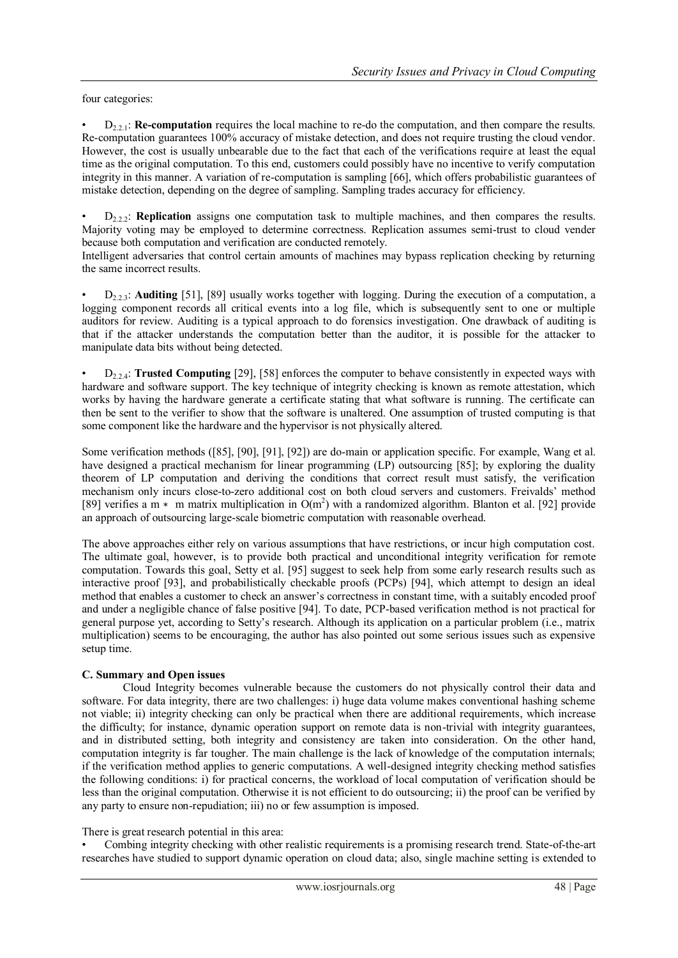four categories:

 $D_{2,2,1}$ : **Re-computation** requires the local machine to re-do the computation, and then compare the results. Re-computation guarantees 100% accuracy of mistake detection, and does not require trusting the cloud vendor. However, the cost is usually unbearable due to the fact that each of the verifications require at least the equal time as the original computation. To this end, customers could possibly have no incentive to verify computation integrity in this manner. A variation of re-computation is sampling [66], which offers probabilistic guarantees of mistake detection, depending on the degree of sampling. Sampling trades accuracy for efficiency.

• D2.2.2: **Replication** assigns one computation task to multiple machines, and then compares the results. Majority voting may be employed to determine correctness. Replication assumes semi-trust to cloud vender because both computation and verification are conducted remotely.

Intelligent adversaries that control certain amounts of machines may bypass replication checking by returning the same incorrect results.

• D2.2.3: **Auditing** [51], [89] usually works together with logging. During the execution of a computation, a logging component records all critical events into a log file, which is subsequently sent to one or multiple auditors for review. Auditing is a typical approach to do forensics investigation. One drawback of auditing is that if the attacker understands the computation better than the auditor, it is possible for the attacker to manipulate data bits without being detected.

• D2.2.4: **Trusted Computing** [29], [58] enforces the computer to behave consistently in expected ways with hardware and software support. The key technique of integrity checking is known as remote attestation, which works by having the hardware generate a certificate stating that what software is running. The certificate can then be sent to the verifier to show that the software is unaltered. One assumption of trusted computing is that some component like the hardware and the hypervisor is not physically altered.

Some verification methods ([85], [90], [91], [92]) are do-main or application specific. For example, Wang et al. have designed a practical mechanism for linear programming (LP) outsourcing [85]; by exploring the duality theorem of LP computation and deriving the conditions that correct result must satisfy, the verification mechanism only incurs close-to-zero additional cost on both cloud servers and customers. Freivalds' method [89] verifies a m  $*$  m matrix multiplication in  $O(m^2)$  with a randomized algorithm. Blanton et al. [92] provide an approach of outsourcing large-scale biometric computation with reasonable overhead.

The above approaches either rely on various assumptions that have restrictions, or incur high computation cost. The ultimate goal, however, is to provide both practical and unconditional integrity verification for remote computation. Towards this goal, Setty et al. [95] suggest to seek help from some early research results such as interactive proof [93], and probabilistically checkable proofs (PCPs) [94], which attempt to design an ideal method that enables a customer to check an answer's correctness in constant time, with a suitably encoded proof and under a negligible chance of false positive [94]. To date, PCP-based verification method is not practical for general purpose yet, according to Setty's research. Although its application on a particular problem (i.e., matrix multiplication) seems to be encouraging, the author has also pointed out some serious issues such as expensive setup time.

## **C. Summary and Open issues**

Cloud Integrity becomes vulnerable because the customers do not physically control their data and software. For data integrity, there are two challenges: i) huge data volume makes conventional hashing scheme not viable; ii) integrity checking can only be practical when there are additional requirements, which increase the difficulty; for instance, dynamic operation support on remote data is non-trivial with integrity guarantees, and in distributed setting, both integrity and consistency are taken into consideration. On the other hand, computation integrity is far tougher. The main challenge is the lack of knowledge of the computation internals; if the verification method applies to generic computations. A well-designed integrity checking method satisfies the following conditions: i) for practical concerns, the workload of local computation of verification should be less than the original computation. Otherwise it is not efficient to do outsourcing; ii) the proof can be verified by any party to ensure non-repudiation; iii) no or few assumption is imposed.

There is great research potential in this area:

• Combing integrity checking with other realistic requirements is a promising research trend. State-of-the-art researches have studied to support dynamic operation on cloud data; also, single machine setting is extended to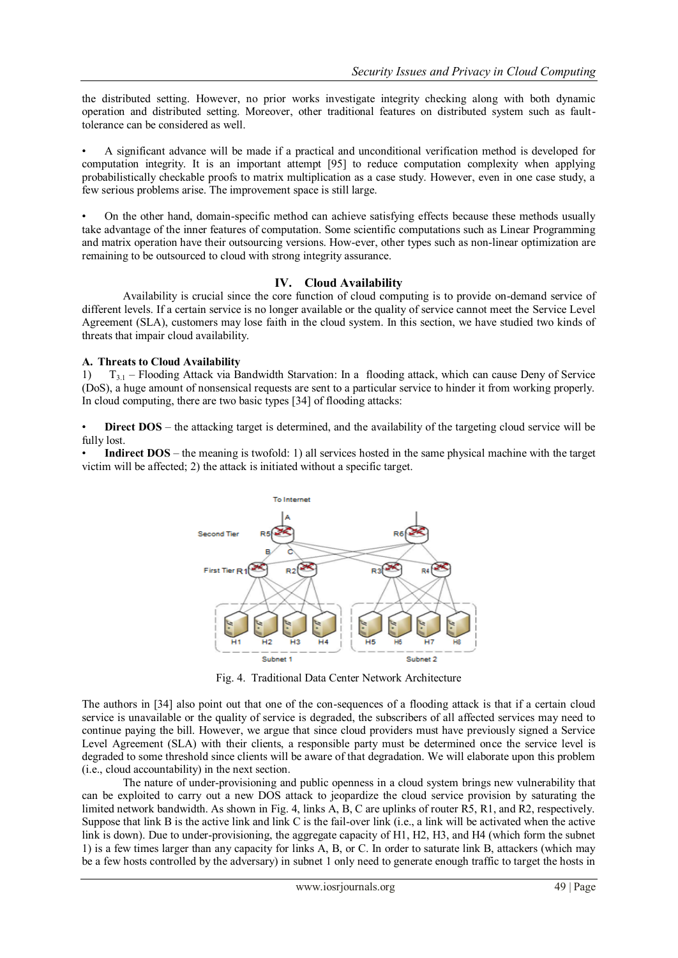the distributed setting. However, no prior works investigate integrity checking along with both dynamic operation and distributed setting. Moreover, other traditional features on distributed system such as faulttolerance can be considered as well.

• A significant advance will be made if a practical and unconditional verification method is developed for computation integrity. It is an important attempt [95] to reduce computation complexity when applying probabilistically checkable proofs to matrix multiplication as a case study. However, even in one case study, a few serious problems arise. The improvement space is still large.

• On the other hand, domain-specific method can achieve satisfying effects because these methods usually take advantage of the inner features of computation. Some scientific computations such as Linear Programming and matrix operation have their outsourcing versions. How-ever, other types such as non-linear optimization are remaining to be outsourced to cloud with strong integrity assurance.

## **IV. Cloud Availability**

Availability is crucial since the core function of cloud computing is to provide on-demand service of different levels. If a certain service is no longer available or the quality of service cannot meet the Service Level Agreement (SLA), customers may lose faith in the cloud system. In this section, we have studied two kinds of threats that impair cloud availability.

#### **A. Threats to Cloud Availability**

1) T3.1 – Flooding Attack via Bandwidth Starvation: In a flooding attack, which can cause Deny of Service (DoS), a huge amount of nonsensical requests are sent to a particular service to hinder it from working properly. In cloud computing, there are two basic types [34] of flooding attacks:

**Direct DOS** – the attacking target is determined, and the availability of the targeting cloud service will be fully lost.

• **Indirect DOS** – the meaning is twofold: 1) all services hosted in the same physical machine with the target victim will be affected; 2) the attack is initiated without a specific target.



Fig. 4. Traditional Data Center Network Architecture

The authors in [34] also point out that one of the con-sequences of a flooding attack is that if a certain cloud service is unavailable or the quality of service is degraded, the subscribers of all affected services may need to continue paying the bill. However, we argue that since cloud providers must have previously signed a Service Level Agreement (SLA) with their clients, a responsible party must be determined once the service level is degraded to some threshold since clients will be aware of that degradation. We will elaborate upon this problem (i.e., cloud accountability) in the next section.

The nature of under-provisioning and public openness in a cloud system brings new vulnerability that can be exploited to carry out a new DOS attack to jeopardize the cloud service provision by saturating the limited network bandwidth. As shown in Fig. 4, links A, B, C are uplinks of router R5, R1, and R2, respectively. Suppose that link B is the active link and link C is the fail-over link (i.e., a link will be activated when the active link is down). Due to under-provisioning, the aggregate capacity of H1, H2, H3, and H4 (which form the subnet 1) is a few times larger than any capacity for links A, B, or C. In order to saturate link B, attackers (which may be a few hosts controlled by the adversary) in subnet 1 only need to generate enough traffic to target the hosts in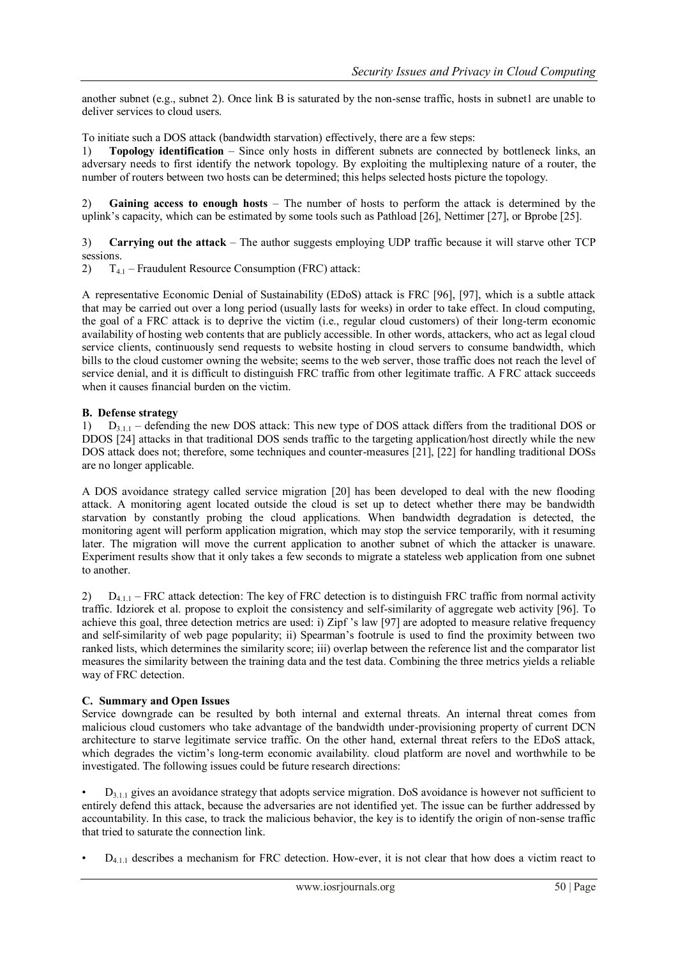another subnet (e.g., subnet 2). Once link B is saturated by the non-sense traffic, hosts in subnet1 are unable to deliver services to cloud users.

To initiate such a DOS attack (bandwidth starvation) effectively, there are a few steps:

1) **Topology identification** – Since only hosts in different subnets are connected by bottleneck links, an adversary needs to first identify the network topology. By exploiting the multiplexing nature of a router, the number of routers between two hosts can be determined; this helps selected hosts picture the topology.

2) **Gaining access to enough hosts** – The number of hosts to perform the attack is determined by the uplink's capacity, which can be estimated by some tools such as Pathload [26], Nettimer [27], or Bprobe [25].

3) **Carrying out the attack** – The author suggests employing UDP traffic because it will starve other TCP sessions.

2)  $T_{41}$  – Fraudulent Resource Consumption (FRC) attack:

A representative Economic Denial of Sustainability (EDoS) attack is FRC [96], [97], which is a subtle attack that may be carried out over a long period (usually lasts for weeks) in order to take effect. In cloud computing, the goal of a FRC attack is to deprive the victim (i.e., regular cloud customers) of their long-term economic availability of hosting web contents that are publicly accessible. In other words, attackers, who act as legal cloud service clients, continuously send requests to website hosting in cloud servers to consume bandwidth, which bills to the cloud customer owning the website; seems to the web server, those traffic does not reach the level of service denial, and it is difficult to distinguish FRC traffic from other legitimate traffic. A FRC attack succeeds when it causes financial burden on the victim.

#### **B. Defense strategy**

1)  $D_{3,1,1}$  – defending the new DOS attack: This new type of DOS attack differs from the traditional DOS or DDOS [24] attacks in that traditional DOS sends traffic to the targeting application/host directly while the new DOS attack does not; therefore, some techniques and counter-measures [21], [22] for handling traditional DOSs are no longer applicable.

A DOS avoidance strategy called service migration [20] has been developed to deal with the new flooding attack. A monitoring agent located outside the cloud is set up to detect whether there may be bandwidth starvation by constantly probing the cloud applications. When bandwidth degradation is detected, the monitoring agent will perform application migration, which may stop the service temporarily, with it resuming later. The migration will move the current application to another subnet of which the attacker is unaware. Experiment results show that it only takes a few seconds to migrate a stateless web application from one subnet to another.

2)  $D_{4,1,1}$  – FRC attack detection: The key of FRC detection is to distinguish FRC traffic from normal activity traffic. Idziorek et al. propose to exploit the consistency and self-similarity of aggregate web activity [96]. To achieve this goal, three detection metrics are used: i) Zipf 's law [97] are adopted to measure relative frequency and self-similarity of web page popularity; ii) Spearman's footrule is used to find the proximity between two ranked lists, which determines the similarity score; iii) overlap between the reference list and the comparator list measures the similarity between the training data and the test data. Combining the three metrics yields a reliable way of FRC detection.

## **C. Summary and Open Issues**

Service downgrade can be resulted by both internal and external threats. An internal threat comes from malicious cloud customers who take advantage of the bandwidth under-provisioning property of current DCN architecture to starve legitimate service traffic. On the other hand, external threat refers to the EDoS attack, which degrades the victim's long-term economic availability. cloud platform are novel and worthwhile to be investigated. The following issues could be future research directions:

 $D_{3,1,1}$  gives an avoidance strategy that adopts service migration. DoS avoidance is however not sufficient to entirely defend this attack, because the adversaries are not identified yet. The issue can be further addressed by accountability. In this case, to track the malicious behavior, the key is to identify the origin of non-sense traffic that tried to saturate the connection link.

 $D_{4,1,1}$  describes a mechanism for FRC detection. How-ever, it is not clear that how does a victim react to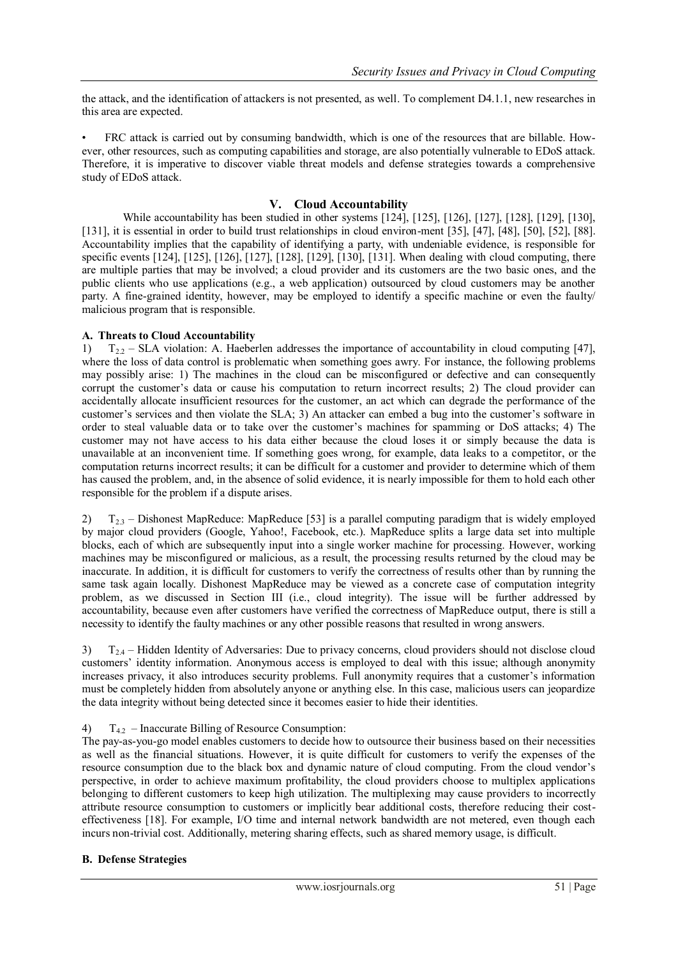the attack, and the identification of attackers is not presented, as well. To complement D4.1.1, new researches in this area are expected.

• FRC attack is carried out by consuming bandwidth, which is one of the resources that are billable. However, other resources, such as computing capabilities and storage, are also potentially vulnerable to EDoS attack. Therefore, it is imperative to discover viable threat models and defense strategies towards a comprehensive study of EDoS attack.

## **V. Cloud Accountability**

While accountability has been studied in other systems [124], [125], [126], [127], [128], [129], [130], [131], it is essential in order to build trust relationships in cloud environ-ment [35], [47], [48], [50], [52], [88]. Accountability implies that the capability of identifying a party, with undeniable evidence, is responsible for specific events [124], [125], [126], [127], [128], [129], [130], [131]. When dealing with cloud computing, there are multiple parties that may be involved; a cloud provider and its customers are the two basic ones, and the public clients who use applications (e.g., a web application) outsourced by cloud customers may be another party. A fine-grained identity, however, may be employed to identify a specific machine or even the faulty/ malicious program that is responsible.

#### **A. Threats to Cloud Accountability**

1)  $T_{22}$  – SLA violation: A. Haeberlen addresses the importance of accountability in cloud computing [47], where the loss of data control is problematic when something goes awry. For instance, the following problems may possibly arise: 1) The machines in the cloud can be misconfigured or defective and can consequently corrupt the customer's data or cause his computation to return incorrect results; 2) The cloud provider can accidentally allocate insufficient resources for the customer, an act which can degrade the performance of the customer's services and then violate the SLA; 3) An attacker can embed a bug into the customer's software in order to steal valuable data or to take over the customer's machines for spamming or DoS attacks; 4) The customer may not have access to his data either because the cloud loses it or simply because the data is unavailable at an inconvenient time. If something goes wrong, for example, data leaks to a competitor, or the computation returns incorrect results; it can be difficult for a customer and provider to determine which of them has caused the problem, and, in the absence of solid evidence, it is nearly impossible for them to hold each other responsible for the problem if a dispute arises.

2)  $T_{2,3}$  – Dishonest MapReduce: MapReduce [53] is a parallel computing paradigm that is widely employed by major cloud providers (Google, Yahoo!, Facebook, etc.). MapReduce splits a large data set into multiple blocks, each of which are subsequently input into a single worker machine for processing. However, working machines may be misconfigured or malicious, as a result, the processing results returned by the cloud may be inaccurate. In addition, it is difficult for customers to verify the correctness of results other than by running the same task again locally. Dishonest MapReduce may be viewed as a concrete case of computation integrity problem, as we discussed in Section III (i.e., cloud integrity). The issue will be further addressed by accountability, because even after customers have verified the correctness of MapReduce output, there is still a necessity to identify the faulty machines or any other possible reasons that resulted in wrong answers.

3) T2.4 – Hidden Identity of Adversaries: Due to privacy concerns, cloud providers should not disclose cloud customers' identity information. Anonymous access is employed to deal with this issue; although anonymity increases privacy, it also introduces security problems. Full anonymity requires that a customer's information must be completely hidden from absolutely anyone or anything else. In this case, malicious users can jeopardize the data integrity without being detected since it becomes easier to hide their identities.

#### 4)  $T_{42}$  – Inaccurate Billing of Resource Consumption:

The pay-as-you-go model enables customers to decide how to outsource their business based on their necessities as well as the financial situations. However, it is quite difficult for customers to verify the expenses of the resource consumption due to the black box and dynamic nature of cloud computing. From the cloud vendor's perspective, in order to achieve maximum profitability, the cloud providers choose to multiplex applications belonging to different customers to keep high utilization. The multiplexing may cause providers to incorrectly attribute resource consumption to customers or implicitly bear additional costs, therefore reducing their costeffectiveness [18]. For example, I/O time and internal network bandwidth are not metered, even though each incurs non-trivial cost. Additionally, metering sharing effects, such as shared memory usage, is difficult.

## **B. Defense Strategies**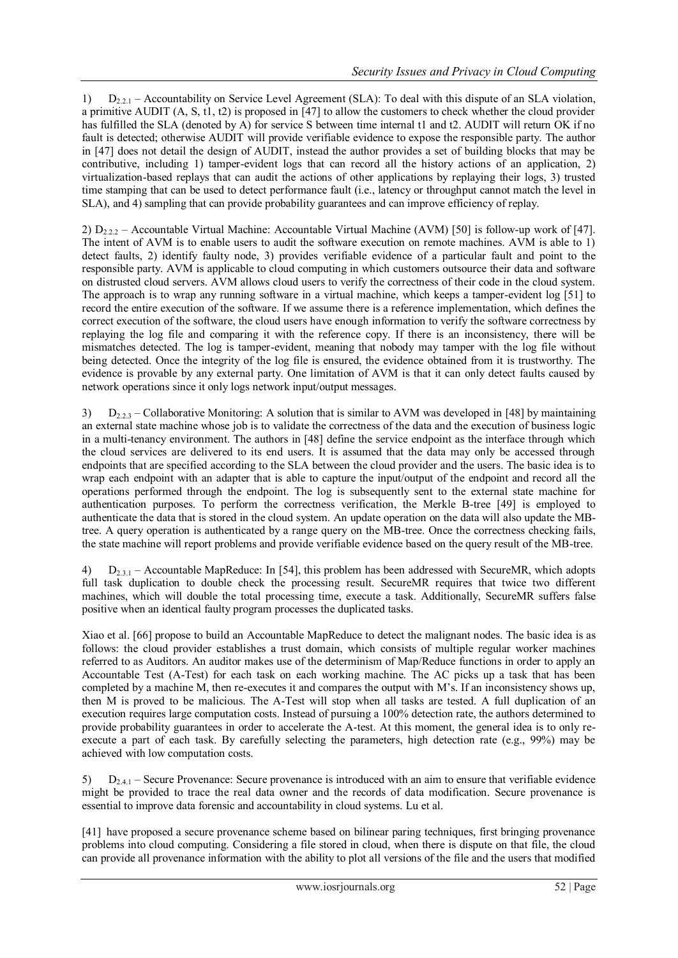1) D<sub>221</sub> – Accountability on Service Level Agreement (SLA): To deal with this dispute of an SLA violation, a primitive AUDIT (A, S, t1, t2) is proposed in [47] to allow the customers to check whether the cloud provider has fulfilled the SLA (denoted by A) for service S between time internal t1 and t2. AUDIT will return OK if no fault is detected; otherwise AUDIT will provide verifiable evidence to expose the responsible party. The author in [47] does not detail the design of AUDIT, instead the author provides a set of building blocks that may be contributive, including 1) tamper-evident logs that can record all the history actions of an application, 2) virtualization-based replays that can audit the actions of other applications by replaying their logs, 3) trusted time stamping that can be used to detect performance fault (i.e., latency or throughput cannot match the level in SLA), and 4) sampling that can provide probability guarantees and can improve efficiency of replay.

2)  $D_{222}$  – Accountable Virtual Machine: Accountable Virtual Machine (AVM) [50] is follow-up work of [47]. The intent of AVM is to enable users to audit the software execution on remote machines. AVM is able to 1) detect faults, 2) identify faulty node, 3) provides verifiable evidence of a particular fault and point to the responsible party. AVM is applicable to cloud computing in which customers outsource their data and software on distrusted cloud servers. AVM allows cloud users to verify the correctness of their code in the cloud system. The approach is to wrap any running software in a virtual machine, which keeps a tamper-evident log [51] to record the entire execution of the software. If we assume there is a reference implementation, which defines the correct execution of the software, the cloud users have enough information to verify the software correctness by replaying the log file and comparing it with the reference copy. If there is an inconsistency, there will be mismatches detected. The log is tamper-evident, meaning that nobody may tamper with the log file without being detected. Once the integrity of the log file is ensured, the evidence obtained from it is trustworthy. The evidence is provable by any external party. One limitation of AVM is that it can only detect faults caused by network operations since it only logs network input/output messages.

3) D<sub>2.2.3</sub> – Collaborative Monitoring: A solution that is similar to AVM was developed in [48] by maintaining an external state machine whose job is to validate the correctness of the data and the execution of business logic in a multi-tenancy environment. The authors in [48] define the service endpoint as the interface through which the cloud services are delivered to its end users. It is assumed that the data may only be accessed through endpoints that are specified according to the SLA between the cloud provider and the users. The basic idea is to wrap each endpoint with an adapter that is able to capture the input/output of the endpoint and record all the operations performed through the endpoint. The log is subsequently sent to the external state machine for authentication purposes. To perform the correctness verification, the Merkle B-tree [49] is employed to authenticate the data that is stored in the cloud system. An update operation on the data will also update the MBtree. A query operation is authenticated by a range query on the MB-tree. Once the correctness checking fails, the state machine will report problems and provide verifiable evidence based on the query result of the MB-tree.

4) D<sub>2.3.1</sub> – Accountable MapReduce: In [54], this problem has been addressed with SecureMR, which adopts full task duplication to double check the processing result. SecureMR requires that twice two different machines, which will double the total processing time, execute a task. Additionally, SecureMR suffers false positive when an identical faulty program processes the duplicated tasks.

Xiao et al. [66] propose to build an Accountable MapReduce to detect the malignant nodes. The basic idea is as follows: the cloud provider establishes a trust domain, which consists of multiple regular worker machines referred to as Auditors. An auditor makes use of the determinism of Map/Reduce functions in order to apply an Accountable Test (A-Test) for each task on each working machine. The AC picks up a task that has been completed by a machine M, then re-executes it and compares the output with M's. If an inconsistency shows up, then M is proved to be malicious. The A-Test will stop when all tasks are tested. A full duplication of an execution requires large computation costs. Instead of pursuing a 100% detection rate, the authors determined to provide probability guarantees in order to accelerate the A-test. At this moment, the general idea is to only reexecute a part of each task. By carefully selecting the parameters, high detection rate (e.g., 99%) may be achieved with low computation costs.

5)  $D_{2,4,1}$  – Secure Provenance: Secure provenance is introduced with an aim to ensure that verifiable evidence might be provided to trace the real data owner and the records of data modification. Secure provenance is essential to improve data forensic and accountability in cloud systems. Lu et al.

[41] have proposed a secure provenance scheme based on bilinear paring techniques, first bringing provenance problems into cloud computing. Considering a file stored in cloud, when there is dispute on that file, the cloud can provide all provenance information with the ability to plot all versions of the file and the users that modified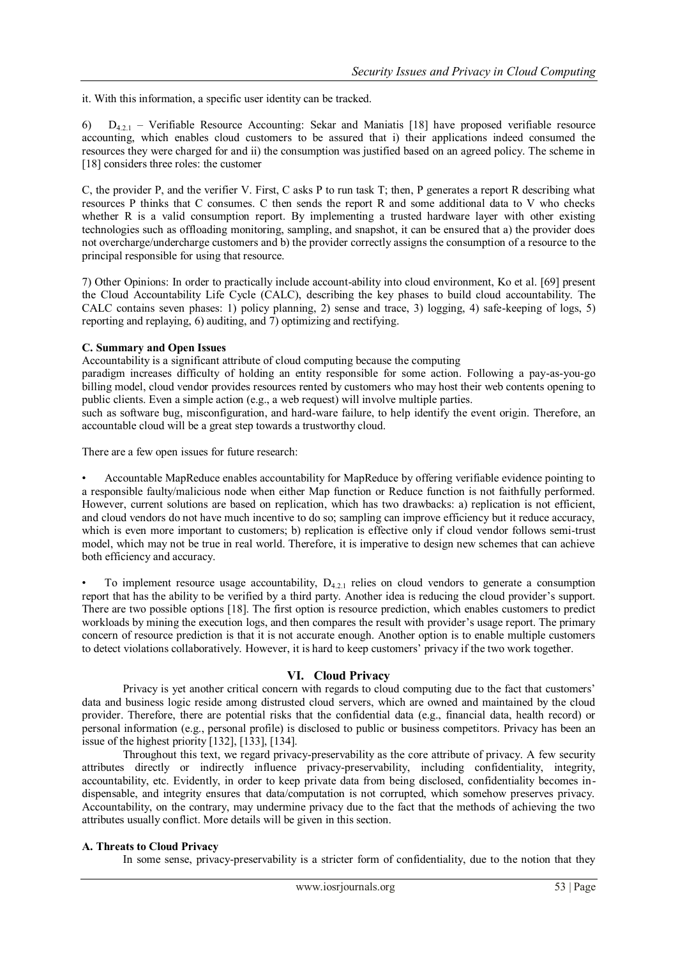it. With this information, a specific user identity can be tracked.

6)  $D_{4,2,1}$  – Verifiable Resource Accounting: Sekar and Maniatis [18] have proposed verifiable resource accounting, which enables cloud customers to be assured that i) their applications indeed consumed the resources they were charged for and ii) the consumption was justified based on an agreed policy. The scheme in [18] considers three roles: the customer

C, the provider P, and the verifier V. First, C asks P to run task T; then, P generates a report R describing what resources P thinks that C consumes. C then sends the report R and some additional data to V who checks whether R is a valid consumption report. By implementing a trusted hardware layer with other existing technologies such as offloading monitoring, sampling, and snapshot, it can be ensured that a) the provider does not overcharge/undercharge customers and b) the provider correctly assigns the consumption of a resource to the principal responsible for using that resource.

7) Other Opinions: In order to practically include account-ability into cloud environment, Ko et al. [69] present the Cloud Accountability Life Cycle (CALC), describing the key phases to build cloud accountability. The CALC contains seven phases: 1) policy planning, 2) sense and trace, 3) logging, 4) safe-keeping of logs, 5) reporting and replaying, 6) auditing, and 7) optimizing and rectifying.

## **C. Summary and Open Issues**

Accountability is a significant attribute of cloud computing because the computing

paradigm increases difficulty of holding an entity responsible for some action. Following a pay-as-you-go billing model, cloud vendor provides resources rented by customers who may host their web contents opening to public clients. Even a simple action (e.g., a web request) will involve multiple parties.

such as software bug, misconfiguration, and hard-ware failure, to help identify the event origin. Therefore, an accountable cloud will be a great step towards a trustworthy cloud.

There are a few open issues for future research:

• Accountable MapReduce enables accountability for MapReduce by offering verifiable evidence pointing to a responsible faulty/malicious node when either Map function or Reduce function is not faithfully performed. However, current solutions are based on replication, which has two drawbacks: a) replication is not efficient, and cloud vendors do not have much incentive to do so; sampling can improve efficiency but it reduce accuracy, which is even more important to customers; b) replication is effective only if cloud vendor follows semi-trust model, which may not be true in real world. Therefore, it is imperative to design new schemes that can achieve both efficiency and accuracy.

To implement resource usage accountability,  $D_{4,2,1}$  relies on cloud vendors to generate a consumption report that has the ability to be verified by a third party. Another idea is reducing the cloud provider's support. There are two possible options [18]. The first option is resource prediction, which enables customers to predict workloads by mining the execution logs, and then compares the result with provider's usage report. The primary concern of resource prediction is that it is not accurate enough. Another option is to enable multiple customers to detect violations collaboratively. However, it is hard to keep customers' privacy if the two work together.

# **VI. Cloud Privacy**

Privacy is yet another critical concern with regards to cloud computing due to the fact that customers' data and business logic reside among distrusted cloud servers, which are owned and maintained by the cloud provider. Therefore, there are potential risks that the confidential data (e.g., financial data, health record) or personal information (e.g., personal profile) is disclosed to public or business competitors. Privacy has been an issue of the highest priority [132], [133], [134].

Throughout this text, we regard privacy-preservability as the core attribute of privacy. A few security attributes directly or indirectly influence privacy-preservability, including confidentiality, integrity, accountability, etc. Evidently, in order to keep private data from being disclosed, confidentiality becomes indispensable, and integrity ensures that data/computation is not corrupted, which somehow preserves privacy. Accountability, on the contrary, may undermine privacy due to the fact that the methods of achieving the two attributes usually conflict. More details will be given in this section.

## **A. Threats to Cloud Privacy**

In some sense, privacy-preservability is a stricter form of confidentiality, due to the notion that they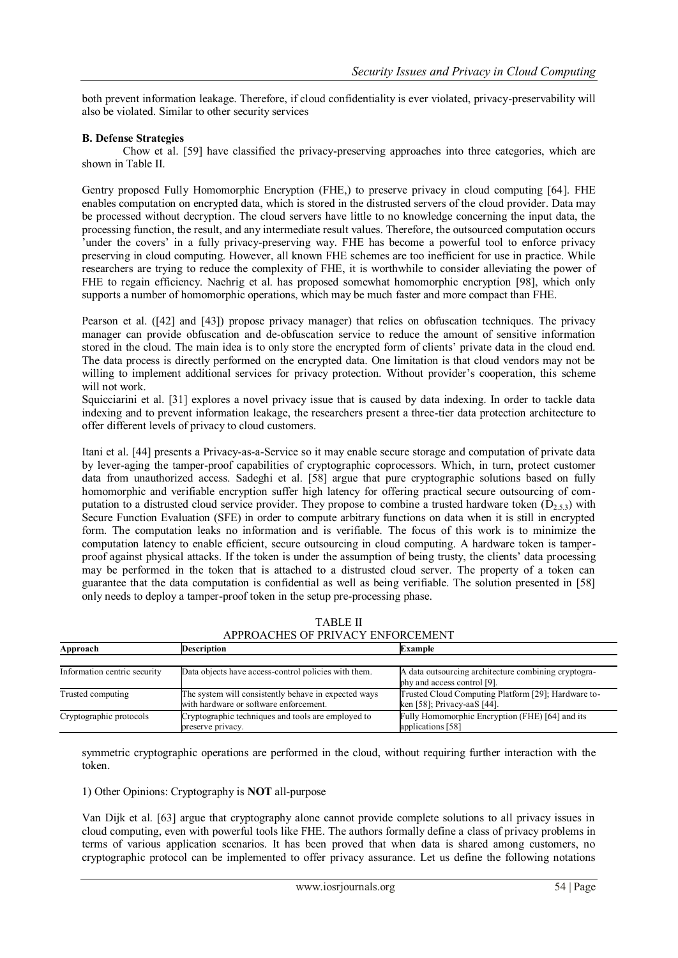both prevent information leakage. Therefore, if cloud confidentiality is ever violated, privacy-preservability will also be violated. Similar to other security services

#### **B. Defense Strategies**

Chow et al. [59] have classified the privacy-preserving approaches into three categories, which are shown in Table II.

Gentry proposed Fully Homomorphic Encryption (FHE,) to preserve privacy in cloud computing [64]. FHE enables computation on encrypted data, which is stored in the distrusted servers of the cloud provider. Data may be processed without decryption. The cloud servers have little to no knowledge concerning the input data, the processing function, the result, and any intermediate result values. Therefore, the outsourced computation occurs 'under the covers' in a fully privacy-preserving way. FHE has become a powerful tool to enforce privacy preserving in cloud computing. However, all known FHE schemes are too inefficient for use in practice. While researchers are trying to reduce the complexity of FHE, it is worthwhile to consider alleviating the power of FHE to regain efficiency. Naehrig et al. has proposed somewhat homomorphic encryption [98], which only supports a number of homomorphic operations, which may be much faster and more compact than FHE.

Pearson et al. ([42] and [43]) propose privacy manager) that relies on obfuscation techniques. The privacy manager can provide obfuscation and de-obfuscation service to reduce the amount of sensitive information stored in the cloud. The main idea is to only store the encrypted form of clients' private data in the cloud end. The data process is directly performed on the encrypted data. One limitation is that cloud vendors may not be willing to implement additional services for privacy protection. Without provider's cooperation, this scheme will not work.

Squicciarini et al. [31] explores a novel privacy issue that is caused by data indexing. In order to tackle data indexing and to prevent information leakage, the researchers present a three-tier data protection architecture to offer different levels of privacy to cloud customers.

Itani et al. [44] presents a Privacy-as-a-Service so it may enable secure storage and computation of private data by lever-aging the tamper-proof capabilities of cryptographic coprocessors. Which, in turn, protect customer data from unauthorized access. Sadeghi et al. [58] argue that pure cryptographic solutions based on fully homomorphic and verifiable encryption suffer high latency for offering practical secure outsourcing of computation to a distrusted cloud service provider. They propose to combine a trusted hardware token ( $D_{2,5,3}$ ) with Secure Function Evaluation (SFE) in order to compute arbitrary functions on data when it is still in encrypted form. The computation leaks no information and is verifiable. The focus of this work is to minimize the computation latency to enable efficient, secure outsourcing in cloud computing. A hardware token is tamperproof against physical attacks. If the token is under the assumption of being trusty, the clients' data processing may be performed in the token that is attached to a distrusted cloud server. The property of a token can guarantee that the data computation is confidential as well as being verifiable. The solution presented in [58] only needs to deploy a tamper-proof token in the setup pre-processing phase.

| Approach                     | Description                                                                                    | Example                                                                             |
|------------------------------|------------------------------------------------------------------------------------------------|-------------------------------------------------------------------------------------|
|                              |                                                                                                |                                                                                     |
| Information centric security | Data objects have access-control policies with them.                                           | A data outsourcing architecture combining cryptogra-<br>phy and access control [9]. |
| Trusted computing            | The system will consistently behave in expected ways<br>with hardware or software enforcement. | Trusted Cloud Computing Platform [29]; Hardware to-<br>ken [58]; Privacy-aaS [44].  |
| Cryptographic protocols      | Cryptographic techniques and tools are employed to<br>preserve privacy.                        | Fully Homomorphic Encryption (FHE) [64] and its<br>applications [58]                |

TABLE II APPROACHES OF PRIVACY ENFORCEMENT

symmetric cryptographic operations are performed in the cloud, without requiring further interaction with the token.

#### 1) Other Opinions: Cryptography is **NOT** all-purpose

Van Dijk et al. [63] argue that cryptography alone cannot provide complete solutions to all privacy issues in cloud computing, even with powerful tools like FHE. The authors formally define a class of privacy problems in terms of various application scenarios. It has been proved that when data is shared among customers, no cryptographic protocol can be implemented to offer privacy assurance. Let us define the following notations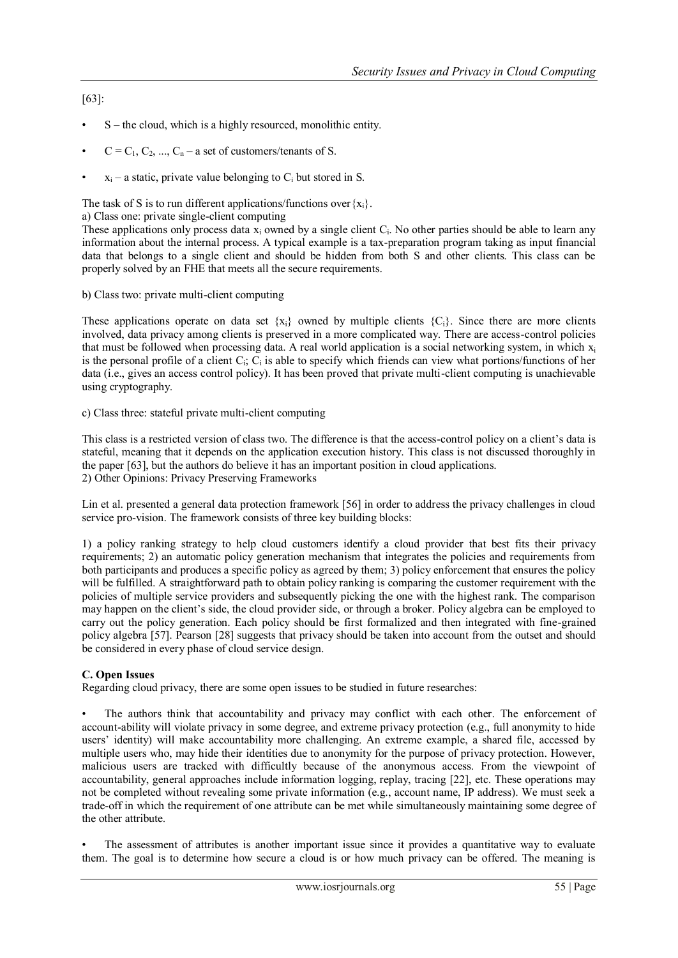[63]:

- S the cloud, which is a highly resourced, monolithic entity.
- $C = C_1, C_2, ..., C_n a$  set of customers/tenants of S.
- $x_i$  a static, private value belonging to  $C_i$  but stored in S.

The task of S is to run different applications/functions over  $\{x_i\}$ .

a) Class one: private single-client computing

These applications only process data  $x_i$  owned by a single client  $C_i$ . No other parties should be able to learn any information about the internal process. A typical example is a tax-preparation program taking as input financial data that belongs to a single client and should be hidden from both S and other clients. This class can be properly solved by an FHE that meets all the secure requirements.

## b) Class two: private multi-client computing

These applications operate on data set  $\{x_i\}$  owned by multiple clients  $\{C_i\}$ . Since there are more clients involved, data privacy among clients is preserved in a more complicated way. There are access-control policies that must be followed when processing data. A real world application is a social networking system, in which  $x_i$ is the personal profile of a client  $C_i$ ;  $C_i$  is able to specify which friends can view what portions/functions of her data (i.e., gives an access control policy). It has been proved that private multi-client computing is unachievable using cryptography.

c) Class three: stateful private multi-client computing

This class is a restricted version of class two. The difference is that the access-control policy on a client's data is stateful, meaning that it depends on the application execution history. This class is not discussed thoroughly in the paper [63], but the authors do believe it has an important position in cloud applications. 2) Other Opinions: Privacy Preserving Frameworks

Lin et al. presented a general data protection framework [56] in order to address the privacy challenges in cloud service pro-vision. The framework consists of three key building blocks:

1) a policy ranking strategy to help cloud customers identify a cloud provider that best fits their privacy requirements; 2) an automatic policy generation mechanism that integrates the policies and requirements from both participants and produces a specific policy as agreed by them; 3) policy enforcement that ensures the policy will be fulfilled. A straightforward path to obtain policy ranking is comparing the customer requirement with the policies of multiple service providers and subsequently picking the one with the highest rank. The comparison may happen on the client's side, the cloud provider side, or through a broker. Policy algebra can be employed to carry out the policy generation. Each policy should be first formalized and then integrated with fine-grained policy algebra [57]. Pearson [28] suggests that privacy should be taken into account from the outset and should be considered in every phase of cloud service design.

# **C. Open Issues**

Regarding cloud privacy, there are some open issues to be studied in future researches:

The authors think that accountability and privacy may conflict with each other. The enforcement of account-ability will violate privacy in some degree, and extreme privacy protection (e.g., full anonymity to hide users' identity) will make accountability more challenging. An extreme example, a shared file, accessed by multiple users who, may hide their identities due to anonymity for the purpose of privacy protection. However, malicious users are tracked with difficultly because of the anonymous access. From the viewpoint of accountability, general approaches include information logging, replay, tracing [22], etc. These operations may not be completed without revealing some private information (e.g., account name, IP address). We must seek a trade-off in which the requirement of one attribute can be met while simultaneously maintaining some degree of the other attribute.

The assessment of attributes is another important issue since it provides a quantitative way to evaluate them. The goal is to determine how secure a cloud is or how much privacy can be offered. The meaning is